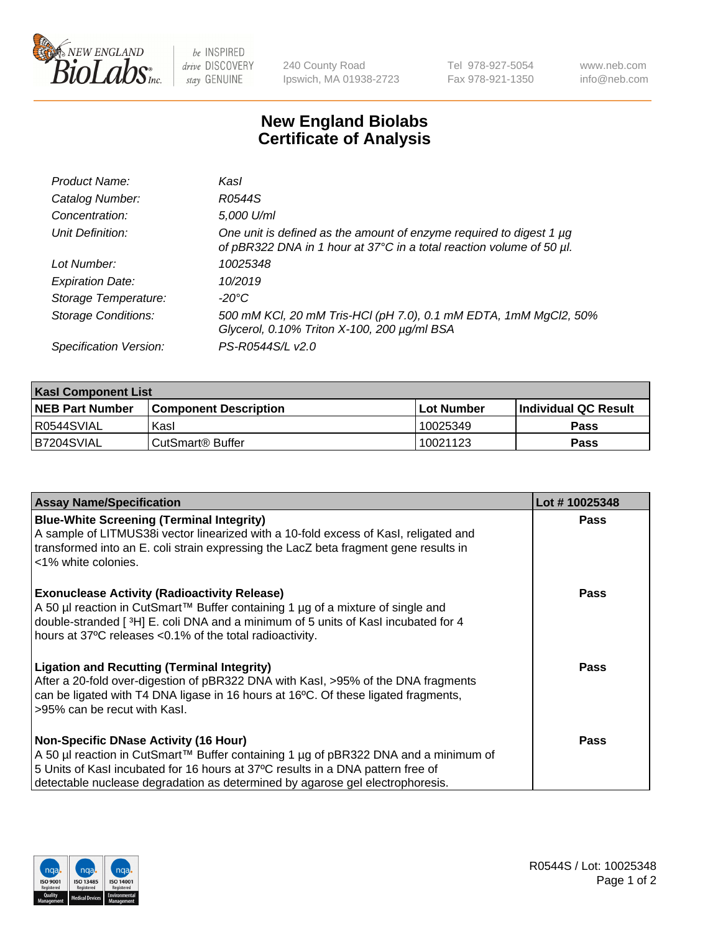

be INSPIRED drive DISCOVERY stay GENUINE

240 County Road Ipswich, MA 01938-2723 Tel 978-927-5054 Fax 978-921-1350

www.neb.com info@neb.com

## **New England Biolabs Certificate of Analysis**

| Product Name:              | Kasl                                                                                                                                             |
|----------------------------|--------------------------------------------------------------------------------------------------------------------------------------------------|
| Catalog Number:            | R0544S                                                                                                                                           |
| Concentration:             | 5,000 U/ml                                                                                                                                       |
| Unit Definition:           | One unit is defined as the amount of enzyme required to digest 1 $\mu$ g<br>of pBR322 DNA in 1 hour at 37°C in a total reaction volume of 50 µl. |
| Lot Number:                | 10025348                                                                                                                                         |
| <b>Expiration Date:</b>    | 10/2019                                                                                                                                          |
| Storage Temperature:       | -20°C                                                                                                                                            |
| <b>Storage Conditions:</b> | 500 mM KCl, 20 mM Tris-HCl (pH 7.0), 0.1 mM EDTA, 1mM MgCl2, 50%<br>Glycerol, 0.10% Triton X-100, 200 µg/ml BSA                                  |
| Specification Version:     | PS-R0544S/L v2.0                                                                                                                                 |

| <b>Kasl Component List</b> |                              |              |                             |  |  |
|----------------------------|------------------------------|--------------|-----------------------------|--|--|
| <b>NEB Part Number</b>     | <b>Component Description</b> | l Lot Number | <b>Individual QC Result</b> |  |  |
| I R0544SVIAL               | Kasl                         | 10025349     | <b>Pass</b>                 |  |  |
| B7204SVIAL                 | l CutSmart® Buffer           | 10021123     | Pass                        |  |  |

| <b>Assay Name/Specification</b>                                                                                                                                                                                                                                                                         | Lot #10025348 |
|---------------------------------------------------------------------------------------------------------------------------------------------------------------------------------------------------------------------------------------------------------------------------------------------------------|---------------|
| <b>Blue-White Screening (Terminal Integrity)</b><br>A sample of LITMUS38i vector linearized with a 10-fold excess of Kasl, religated and<br>transformed into an E. coli strain expressing the LacZ beta fragment gene results in<br><1% white colonies.                                                 | Pass          |
| <b>Exonuclease Activity (Radioactivity Release)</b><br>A 50 µl reaction in CutSmart™ Buffer containing 1 µg of a mixture of single and<br>double-stranded [3H] E. coli DNA and a minimum of 5 units of Kasl incubated for 4<br>hours at 37°C releases <0.1% of the total radioactivity.                 | <b>Pass</b>   |
| <b>Ligation and Recutting (Terminal Integrity)</b><br>After a 20-fold over-digestion of pBR322 DNA with Kasl, >95% of the DNA fragments<br>can be ligated with T4 DNA ligase in 16 hours at 16°C. Of these ligated fragments,<br>>95% can be recut with Kasl.                                           | Pass          |
| <b>Non-Specific DNase Activity (16 Hour)</b><br>A 50 µl reaction in CutSmart™ Buffer containing 1 µg of pBR322 DNA and a minimum of<br>5 Units of Kasl incubated for 16 hours at 37°C results in a DNA pattern free of<br>detectable nuclease degradation as determined by agarose gel electrophoresis. | Pass          |